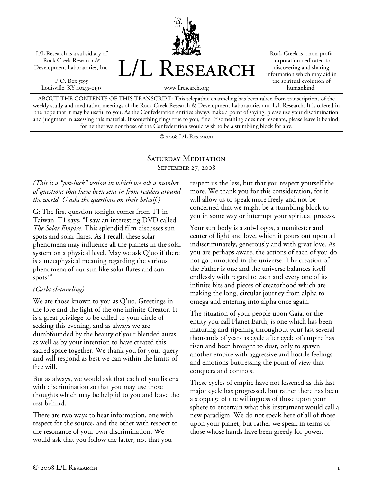L/L Research is a subsidiary of Rock Creek Research & Development Laboratories, Inc.

P.O. Box 5195 Louisville, KY 40255-0195



Rock Creek is a non-profit corporation dedicated to discovering and sharing information which may aid in the spiritual evolution of humankind.

ABOUT THE CONTENTS OF THIS TRANSCRIPT: This telepathic channeling has been taken from transcriptions of the weekly study and meditation meetings of the Rock Creek Research & Development Laboratories and L/L Research. It is offered in the hope that it may be useful to you. As the Confederation entities always make a point of saying, please use your discrimination and judgment in assessing this material. If something rings true to you, fine. If something does not resonate, please leave it behind, for neither we nor those of the Confederation would wish to be a stumbling block for any.

© 2008 L/L Research

## SATURDAY MEDITATION September 27, 2008

### *(This is a "pot-luck" session in which we ask a number of questions that have been sent in from readers around the world. G asks the questions on their behalf.)*

**G:** The first question tonight comes from T1 in Taiwan. T1 says, "I saw an interesting DVD called *The Solar Empire*. This splendid film discusses sun spots and solar flares. As I recall, these solar phenomena may influence all the planets in the solar system on a physical level. May we ask Q'uo if there is a metaphysical meaning regarding the various phenomena of our sun like solar flares and sun spots?"

### *(Carla channeling)*

We are those known to you as Q'uo. Greetings in the love and the light of the one infinite Creator. It is a great privilege to be called to your circle of seeking this evening, and as always we are dumbfounded by the beauty of your blended auras as well as by your intention to have created this sacred space together. We thank you for your query and will respond as best we can within the limits of free will.

But as always, we would ask that each of you listens with discrimination so that you may use those thoughts which may be helpful to you and leave the rest behind.

There are two ways to hear information, one with respect for the source, and the other with respect to the resonance of your own discrimination. We would ask that you follow the latter, not that you

respect us the less, but that you respect yourself the more. We thank you for this consideration, for it will allow us to speak more freely and not be concerned that we might be a stumbling block to you in some way or interrupt your spiritual process.

Your sun body is a sub-Logos, a manifester and center of light and love, which it pours out upon all indiscriminately, generously and with great love. As you are perhaps aware, the actions of each of you do not go unnoticed in the universe. The creation of the Father is one and the universe balances itself endlessly with regard to each and every one of its infinite bits and pieces of creatorhood which are making the long, circular journey from alpha to omega and entering into alpha once again.

The situation of your people upon Gaia, or the entity you call Planet Earth, is one which has been maturing and ripening throughout your last several thousands of years as cycle after cycle of empire has risen and been brought to dust, only to spawn another empire with aggressive and hostile feelings and emotions buttressing the point of view that conquers and controls.

These cycles of empire have not lessened as this last major cycle has progressed, but rather there has been a stoppage of the willingness of those upon your sphere to entertain what this instrument would call a new paradigm. We do not speak here of all of those upon your planet, but rather we speak in terms of those whose hands have been greedy for power.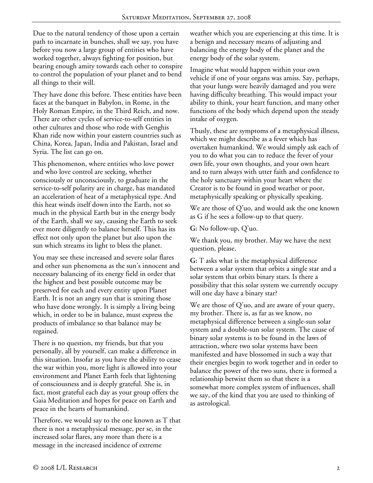Due to the natural tendency of those upon a certain path to incarnate in bunches, shall we say, you have before you now a large group of entities who have worked together, always fighting for position, but bearing enough amity towards each other to conspire to control the population of your planet and to bend all things to their will.

They have done this before. These entities have been faces at the banquet in Babylon, in Rome, in the Holy Roman Empire, in the Third Reich, and now. There are other cycles of service-to-self entities in other cultures and those who rode with Genghis Khan ride now within your eastern countries such as China, Korea, Japan, India and Pakistan, Israel and Syria. The list can go on.

This phenomenon, where entities who love power and who love control are seeking, whether consciously or unconsciously, to graduate in the service-to-self polarity are in charge, has mandated an acceleration of heat of a metaphysical type. And this heat winds itself down into the Earth, not so much in the physical Earth but in the energy body of the Earth, shall we say, causing the Earth to seek ever more diligently to balance herself. This has its effect not only upon the planet but also upon the sun which streams its light to bless the planet.

You may see these increased and severe solar flares and other sun phenomena as the sun's innocent and necessary balancing of its energy field in order that the highest and best possible outcome may be preserved for each and every entity upon Planet Earth. It is not an angry sun that is smiting those who have done wrongly. It is simply a living being which, in order to be in balance, must express the products of imbalance so that balance may be regained.

There is no question, my friends, but that you personally, all by yourself, can make a difference in this situation. Insofar as you have the ability to cease the war within you, more light is allowed into your environment and Planet Earth feels that lightening of consciousness and is deeply grateful. She is, in fact, most grateful each day as your group offers the Gaia Meditation and hopes for peace on Earth and peace in the hearts of humankind.

Therefore, we would say to the one known as T that there is not a metaphysical message, per se, in the increased solar flares, any more than there is a message in the increased incidence of extreme

weather which you are experiencing at this time. It is a benign and necessary means of adjusting and balancing the energy body of the planet and the energy body of the solar system.

Imagine what would happen within your own vehicle if one of your organs was amiss. Say, perhaps, that your lungs were heavily damaged and you were having difficulty breathing. This would impact your ability to think, your heart function, and many other functions of the body which depend upon the steady intake of oxygen.

Thusly, these are symptoms of a metaphysical illness, which we might describe as a fever which has overtaken humankind. We would simply ask each of you to do what you can to reduce the fever of your own life, your own thoughts, and your own heart and to turn always with utter faith and confidence to the holy sanctuary within your heart where the Creator is to be found in good weather or poor, metaphysically speaking or physically speaking.

We are those of Q'uo, and would ask the one known as G if he sees a follow-up to that query.

**G:** No follow-up, Q'uo.

We thank you, my brother. May we have the next question, please.

**G:** T asks what is the metaphysical difference between a solar system that orbits a single star and a solar system that orbits binary stars. Is there a possibility that this solar system we currently occupy will one day have a binary star?

We are those of Q'uo, and are aware of your query, my brother. There is, as far as we know, no metaphysical difference between a single-sun solar system and a double-sun solar system. The cause of binary solar systems is to be found in the laws of attraction, where two solar systems have been manifested and have blossomed in such a way that their energies begin to work together and in order to balance the power of the two suns, there is formed a relationship betwixt them so that there is a somewhat more complex system of influences, shall we say, of the kind that you are used to thinking of as astrological.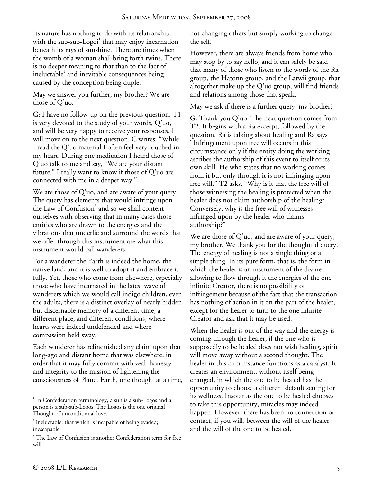Its nature has nothing to do with its relationship with the sub-sub-Logoi<sup>1</sup> that may enjoy incarnation beneath its rays of sunshine. There are times when the womb of a woman shall bring forth twins. There is no deeper meaning to that than to the fact of ineluctable<sup>2</sup> and inevitable consequences being caused by the conception being duple.

May we answer you further, my brother? We are those of Q'uo.

**G:** I have no follow-up on the previous question. T1 is very devoted to the study of your words, Q'uo, and will be very happy to receive your responses. I will move on to the next question. C writes: "While I read the Q'uo material I often feel very touched in my heart. During one meditation I heard those of Q'uo talk to me and say, "We are your distant future." I really want to know if those of Q'uo are connected with me in a deeper way."

We are those of  $Q'$ uo, and are aware of your query. The query has elements that would infringe upon the Law of Confusion<sup>3</sup> and so we shall content ourselves with observing that in many cases those entities who are drawn to the energies and the vibrations that underlie and surround the words that we offer through this instrument are what this instrument would call wanderers.

For a wanderer the Earth is indeed the home, the native land, and it is well to adopt it and embrace it fully. Yet, those who come from elsewhere, especially those who have incarnated in the latest wave of wanderers which we would call indigo children, even the adults, there is a distinct overlay of nearly hidden but discernable memory of a different time, a different place, and different conditions, where hearts were indeed undefended and where compassion held sway.

Each wanderer has relinquished any claim upon that long-ago and distant home that was elsewhere, in order that it may fully commit with zeal, honesty and integrity to the mission of lightening the consciousness of Planet Earth, one thought at a time, not changing others but simply working to change the self.

However, there are always friends from home who may stop by to say hello, and it can safely be said that many of those who listen to the words of the Ra group, the Hatonn group, and the Latwii group, that altogether make up the Q'uo group, will find friends and relations among those that speak.

May we ask if there is a further query, my brother?

**G:** Thank you Q'uo. The next question comes from T2. It begins with a Ra excerpt, followed by the question. Ra is talking about healing and Ra says "Infringement upon free will occurs in this circumstance only if the entity doing the working ascribes the authorship of this event to itself or its own skill. He who states that no working comes from it but only through it is not infringing upon free will." T2 asks, "Why is it that the free will of those witnessing the healing is protected when the healer does not claim authorship of the healing? Conversely, why is the free will of witnesses infringed upon by the healer who claims authorship?"

We are those of Q'uo, and are aware of your query, my brother. We thank you for the thoughtful query. The energy of healing is not a single thing or a simple thing. In its pure form, that is, the form in which the healer is an instrument of the divine allowing to flow through it the energies of the one infinite Creator, there is no possibility of infringement because of the fact that the transaction has nothing of action in it on the part of the healer, except for the healer to turn to the one infinite Creator and ask that it may be used.

When the healer is out of the way and the energy is coming through the healer, if the one who is supposedly to be healed does not wish healing, spirit will move away without a second thought. The healer in this circumstance functions as a catalyst. It creates an environment, without itself being changed, in which the one to be healed has the opportunity to choose a different default setting for its wellness. Insofar as the one to be healed chooses to take this opportunity, miracles may indeed happen. However, there has been no connection or contact, if you will, between the will of the healer and the will of the one to be healed.

 $\overline{a}$ 

<sup>&</sup>lt;sup>1</sup> In Confederation terminology, a sun is a sub-Logos and a person is a sub-sub-Logos. The Logos is the one original Thought of unconditional love.

 $2$  ineluctable: that which is incapable of being evaded; inescapable.

<sup>&</sup>lt;sup>3</sup> The Law of Confusion is another Confederation term for free will.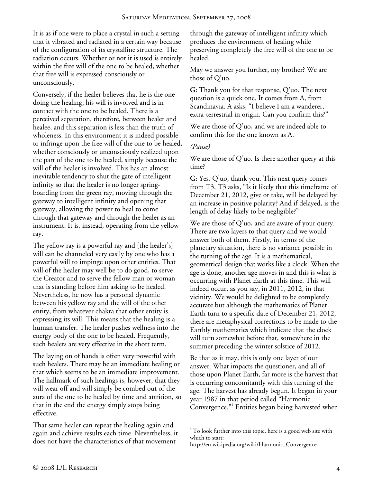It is as if one were to place a crystal in such a setting that it vibrated and radiated in a certain way because of the configuration of its crystalline structure. The radiation occurs. Whether or not it is used is entirely within the free will of the one to be healed, whether that free will is expressed consciously or unconsciously.

Conversely, if the healer believes that he is the one doing the healing, his will is involved and is in contact with the one to be healed. There is a perceived separation, therefore, between healer and healee, and this separation is less than the truth of wholeness. In this environment it is indeed possible to infringe upon the free will of the one to be healed, whether consciously or unconsciously realized upon the part of the one to be healed, simply because the will of the healer is involved. This has an almost inevitable tendency to shut the gate of intelligent infinity so that the healer is no longer springboarding from the green ray, moving through the gateway to intelligent infinity and opening that gateway, allowing the power to heal to come through that gateway and through the healer as an instrument. It is, instead, operating from the yellow ray.

The yellow ray is a powerful ray and [the healer's] will can be channeled very easily by one who has a powerful will to impinge upon other entities. That will of the healer may well be to do good, to serve the Creator and to serve the fellow man or woman that is standing before him asking to be healed. Nevertheless, he now has a personal dynamic between his yellow ray and the will of the other entity, from whatever chakra that other entity is expressing its will. This means that the healing is a human transfer. The healer pushes wellness into the energy body of the one to be healed. Frequently, such healers are very effective in the short term.

The laying on of hands is often very powerful with such healers. There may be an immediate healing or that which seems to be an immediate improvement. The hallmark of such healings is, however, that they will wear off and will simply be combed out of the aura of the one to be healed by time and attrition, so that in the end the energy simply stops being effective.

That same healer can repeat the healing again and again and achieve results each time. Nevertheless, it does not have the characteristics of that movement

through the gateway of intelligent infinity which produces the environment of healing while preserving completely the free will of the one to be healed.

May we answer you further, my brother? We are those of Q'uo.

**G:** Thank you for that response, Q'uo. The next question is a quick one. It comes from A, from Scandinavia. A asks, "I believe I am a wanderer, extra-terrestrial in origin. Can you confirm this?"

We are those of Q'uo, and we are indeed able to confirm this for the one known as A.

### *(Pause)*

We are those of Q'uo. Is there another query at this time?

**G:** Yes, Q'uo, thank you. This next query comes from T3. T3 asks, "Is it likely that this timeframe of December 21, 2012, give or take, will be delayed by an increase in positive polarity? And if delayed, is the length of delay likely to be negligible?"

We are those of Q'uo, and are aware of your query. There are two layers to that query and we would answer both of them. Firstly, in terms of the planetary situation, there is no variance possible in the turning of the age. It is a mathematical, geometrical design that works like a clock. When the age is done, another age moves in and this is what is occurring with Planet Earth at this time. This will indeed occur, as you say, in 2011, 2012, in that vicinity. We would be delighted to be completely accurate but although the mathematics of Planet Earth turn to a specific date of December 21, 2012, there are metaphysical corrections to be made to the Earthly mathematics which indicate that the clock will turn somewhat before that, somewhere in the summer preceding the winter solstice of 2012.

Be that as it may, this is only one layer of our answer. What impacts the questioner, and all of those upon Planet Earth, far more is the harvest that is occurring concomitantly with this turning of the age. The harvest has already begun. It began in your year 1987 in that period called "Harmonic Convergence."<sup>4</sup> Entities began being harvested when

 $\overline{a}$ <sup>4</sup> To look further into this topic, here is a good web site with which to start:

http://en.wikipedia.org/wiki/Harmonic\_Convergence.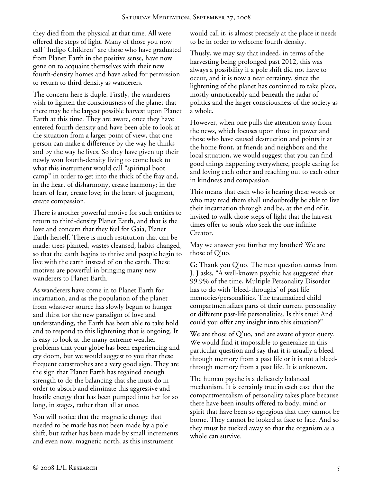they died from the physical at that time. All were offered the steps of light. Many of those you now call "Indigo Children" are those who have graduated from Planet Earth in the positive sense, have now gone on to acquaint themselves with their new fourth-density homes and have asked for permission to return to third density as wanderers.

The concern here is duple. Firstly, the wanderers wish to lighten the consciousness of the planet that there may be the largest possible harvest upon Planet Earth at this time. They are aware, once they have entered fourth density and have been able to look at the situation from a larger point of view, that one person can make a difference by the way he thinks and by the way he lives. So they have given up their newly won fourth-density living to come back to what this instrument would call "spiritual boot camp" in order to get into the thick of the fray and, in the heart of disharmony, create harmony; in the heart of fear, create love; in the heart of judgment, create compassion.

There is another powerful motive for such entities to return to third-density Planet Earth, and that is the love and concern that they feel for Gaia, Planet Earth herself. There is much restitution that can be made: trees planted, wastes cleansed, habits changed, so that the earth begins to thrive and people begin to live with the earth instead of on the earth. These motives are powerful in bringing many new wanderers to Planet Earth.

As wanderers have come in to Planet Earth for incarnation, and as the population of the planet from whatever source has slowly begun to hunger and thirst for the new paradigm of love and understanding, the Earth has been able to take hold and to respond to this lightening that is ongoing. It is easy to look at the many extreme weather problems that your globe has been experiencing and cry doom, but we would suggest to you that these frequent catastrophes are a very good sign. They are the sign that Planet Earth has regained enough strength to do the balancing that she must do in order to absorb and eliminate this aggressive and hostile energy that has been pumped into her for so long, in stages, rather than all at once.

You will notice that the magnetic change that needed to be made has not been made by a pole shift, but rather has been made by small increments and even now, magnetic north, as this instrument

would call it, is almost precisely at the place it needs to be in order to welcome fourth density.

Thusly, we may say that indeed, in terms of the harvesting being prolonged past 2012, this was always a possibility if a pole shift did not have to occur, and it is now a near certainty, since the lightening of the planet has continued to take place, mostly unnoticeably and beneath the radar of politics and the larger consciousness of the society as a whole.

However, when one pulls the attention away from the news, which focuses upon those in power and those who have caused destruction and points it at the home front, at friends and neighbors and the local situation, we would suggest that you can find good things happening everywhere, people caring for and loving each other and reaching out to each other in kindness and compassion.

This means that each who is hearing these words or who may read them shall undoubtedly be able to live their incarnation through and be, at the end of it, invited to walk those steps of light that the harvest times offer to souls who seek the one infinite Creator.

May we answer you further my brother? We are those of Q'uo.

**G:** Thank you Q'uo. The next question comes from J. J asks, "A well-known psychic has suggested that 99.9% of the time, Multiple Personality Disorder has to do with 'bleed-throughs' of past life memories/personalities. The traumatized child compartmentalizes parts of their current personality or different past-life personalities. Is this true? And could you offer any insight into this situation?"

We are those of Q'uo, and are aware of your query. We would find it impossible to generalize in this particular question and say that it is usually a bleedthrough memory from a past life or it is not a bleedthrough memory from a past life. It is unknown.

The human psyche is a delicately balanced mechanism. It is certainly true in each case that the compartmentalism of personality takes place because there have been insults offered to body, mind or spirit that have been so egregious that they cannot be borne. They cannot be looked at face to face. And so they must be tucked away so that the organism as a whole can survive.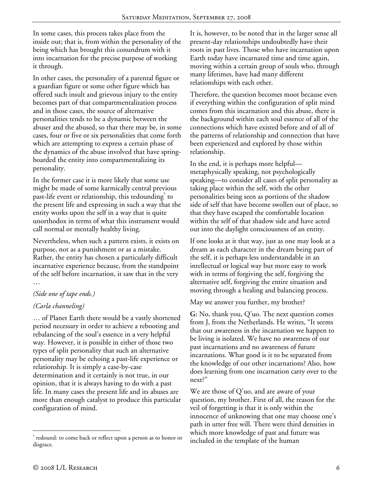In some cases, this process takes place from the inside out; that is, from within the personality of the being which has brought this conundrum with it into incarnation for the precise purpose of working it through.

In other cases, the personality of a parental figure or a guardian figure or some other figure which has offered such insult and grievous injury to the entity becomes part of that compartmentalization process and in those cases, the source of alternative personalities tends to be a dynamic between the abuser and the abused, so that there may be, in some cases, four or five or six personalities that come forth which are attempting to express a certain phase of the dynamics of the abuse involved that have springboarded the entity into compartmentalizing its personality.

In the former case it is more likely that some use might be made of some karmically central previous past-life event or relationship, this redounding<sup>5</sup> to the present life and expressing in such a way that the entity works upon the self in a way that is quite unorthodox in terms of what this instrument would call normal or mentally healthy living.

Nevertheless, when such a pattern exists, it exists on purpose, not as a punishment or as a mistake. Rather, the entity has chosen a particularly difficult incarnative experience because, from the standpoint of the self before incarnation, it saw that in the very …

# *(Side one of tape ends.)*

# *(Carla channeling)*

… of Planet Earth there would be a vastly shortened period necessary in order to achieve a rebooting and rebalancing of the soul's essence in a very helpful way. However, it is possible in either of those two types of split personality that such an alternative personality may be echoing a past-life experience or relationship. It is simply a case-by-case determination and it certainly is not true, in our opinion, that it is always having to do with a past life. In many cases the present life and its abuses are more than enough catalyst to produce this particular configuration of mind.

It is, however, to be noted that in the larger sense all present-day relationships undoubtedly have their roots in past lives. Those who have incarnation upon Earth today have incarnated time and time again, moving within a certain group of souls who, through many lifetimes, have had many different relationships with each other.

Therefore, the question becomes moot because even if everything within the configuration of split mind comes from this incarnation and this abuse, there is the background within each soul essence of all of the connections which have existed before and of all of the patterns of relationship and connection that have been experienced and explored by those within relationship.

In the end, it is perhaps more helpful metaphysically speaking, not psychologically speaking—to consider all cases of split personality as taking place within the self, with the other personalities being seen as portions of the shadow side of self that have become swollen out of place, so that they have escaped the comfortable location within the self of that shadow side and have acted out into the daylight consciousness of an entity.

If one looks at it that way, just as one may look at a dream as each character in the dream being part of the self, it is perhaps less understandable in an intellectual or logical way but more easy to work with in terms of forgiving the self, forgiving the alternative self, forgiving the entire situation and moving through a healing and balancing process.

May we answer you further, my brother?

**G:** No, thank you, Q'uo. The next question comes from J, from the Netherlands. He writes, "It seems that our awareness in the incarnation we happen to be living is isolated. We have no awareness of our past incarnations and no awareness of future incarnations. What good is it to be separated from the knowledge of our other incarnations? Also, how does learning from one incarnation carry over to the next?"

We are those of Q'uo, and are aware of your question, my brother. First of all, the reason for the veil of forgetting is that it is only within the innocence of unknowing that one may choose one's path in utter free will. There were third densities in which more knowledge of past and future was included in the template of the human

-

<sup>&</sup>lt;sup>5</sup> redound: to come back or reflect upon a person as to honor or disgrace.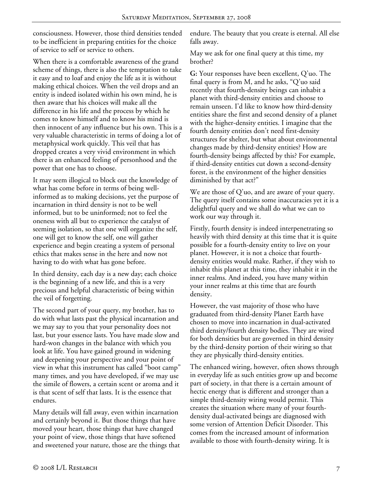consciousness. However, those third densities tended to be inefficient in preparing entities for the choice of service to self or service to others.

When there is a comfortable awareness of the grand scheme of things, there is also the temptation to take it easy and to loaf and enjoy the life as it is without making ethical choices. When the veil drops and an entity is indeed isolated within his own mind, he is then aware that his choices will make all the difference in his life and the process by which he comes to know himself and to know his mind is then innocent of any influence but his own. This is a very valuable characteristic in terms of doing a lot of metaphysical work quickly. This veil that has dropped creates a very vivid environment in which there is an enhanced feeling of personhood and the power that one has to choose.

It may seem illogical to block out the knowledge of what has come before in terms of being wellinformed as to making decisions, yet the purpose of incarnation in third density is not to be well informed, but to be uninformed; not to feel the oneness with all but to experience the catalyst of seeming isolation, so that one will organize the self, one will get to know the self, one will gather experience and begin creating a system of personal ethics that makes sense in the here and now not having to do with what has gone before.

In third density, each day is a new day; each choice is the beginning of a new life, and this is a very precious and helpful characteristic of being within the veil of forgetting.

The second part of your query, my brother, has to do with what lasts past the physical incarnation and we may say to you that your personality does not last, but your essence lasts. You have made slow and hard-won changes in the balance with which you look at life. You have gained ground in widening and deepening your perspective and your point of view in what this instrument has called "boot camp" many times, and you have developed, if we may use the simile of flowers, a certain scent or aroma and it is that scent of self that lasts. It is the essence that endures.

Many details will fall away, even within incarnation and certainly beyond it. But those things that have moved your heart, those things that have changed your point of view, those things that have softened and sweetened your nature, those are the things that endure. The beauty that you create is eternal. All else falls away.

May we ask for one final query at this time, my brother?

**G:** Your responses have been excellent, Q'uo. The final query is from M, and he asks, "Q'uo said recently that fourth-density beings can inhabit a planet with third-density entities and choose to remain unseen. I'd like to know how third-density entities share the first and second density of a planet with the higher-density entities. I imagine that the fourth density entities don't need first-density structures for shelter, but what about environmental changes made by third-density entities? How are fourth-density beings affected by this? For example, if third-density entities cut down a second-density forest, is the environment of the higher densities diminished by that act?"

We are those of  $Q'$ uo, and are aware of your query. The query itself contains some inaccuracies yet it is a delightful query and we shall do what we can to work our way through it.

Firstly, fourth density is indeed interpenetrating so heavily with third density at this time that it is quite possible for a fourth-density entity to live on your planet. However, it is not a choice that fourthdensity entities would make. Rather, if they wish to inhabit this planet at this time, they inhabit it in the inner realms. And indeed, you have many within your inner realms at this time that are fourth density.

However, the vast majority of those who have graduated from third-density Planet Earth have chosen to move into incarnation in dual-activated third density/fourth density bodies. They are wired for both densities but are governed in third density by the third-density portion of their wiring so that they are physically third-density entities.

The enhanced wiring, however, often shows through in everyday life as such entities grow up and become part of society, in that there is a certain amount of hectic energy that is different and stronger than a simple third-density wiring would permit. This creates the situation where many of your fourthdensity dual-activated beings are diagnosed with some version of Attention Deficit Disorder. This comes from the increased amount of information available to those with fourth-density wiring. It is